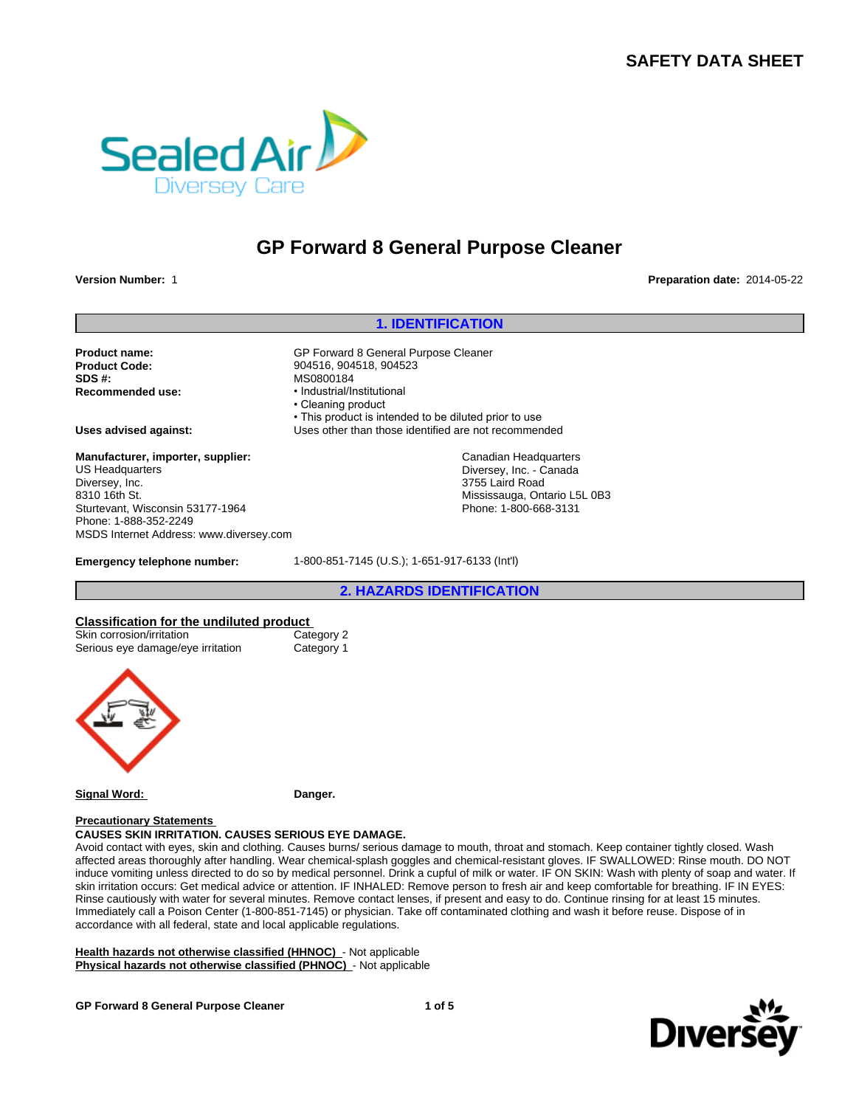## **SAFETY DATA SHEET**



# **GP Forward 8 General Purpose Cleaner**

**Version Number:** 1 **Preparation date:** 2014-05-22

# **1. IDENTIFICATION**<br> **1. IDENTIFICATION**<br>
Preparat<br>
Peneral Purpose Cleaner<br>
904523 **Product name:** GP Forward 8 General Purpose Cleaner **Product Code:** 904516, 904518, 904523 **SDS #:**<br> **Recommended use:**<br> **Recommended use:**<br> **example:**<br> **example: Recommended use:** • Industrial/Institutional • Cleaning product • This product is intended to be diluted prior to use **Uses advised against:** Uses other than those identified are not recommended **Emergency telephone number:** 1-800-851-7145 (U.S.); 1-651-917-6133 (Int'l) 84<br>
20 product<br>
druct is intended to be diluted prior to use<br>
are than those identified are not recommended<br>
Canadian Headquarters<br>
Diversey, Inc. - Canada<br>
3755 Laird Road<br>
Mississauga, Ontario L5L 0B3<br>
Phone: 1-800-668-3 **Classification for the undiluted product**<br>
Skin corrosion/irritation<br>
2016 Category 2 Skin corrosion/irritation Serious eye damage/eye irritation Category 1 **Signal Word: Danger. Manufacturer, importer, supplier:** US Headquarters Diversey, Inc. 8310 16th St. Sturtevant, Wisconsin 53177-1964 Phone: 1-888-352-2249 MSDS Internet Address: www.diversey.com Canadian Headquarters Diversey, Inc. - Canada 3755 Laird Road Mississauga, Ontario L5L 0B3 Phone: 1-800-668-3131

#### **Precautionary Statements CAUSES SKIN IRRITATION. CAUSES SERIOUS EYE DAMAGE.**

Avoid contact with eyes, skin and clothing. Causes burns/ serious damage to mouth, throat and stomach. Keep container tightly closed. Wash affected areas thoroughly after handling. Wear chemical-splash goggles and chemical-resistant gloves. IF SWALLOWED: Rinse mouth. DO NOT induce vomiting unless directed to do so by medical personnel. Drink a cupful of milk or water. IF ON SKIN: Wash with plenty of soap and water. If skin irritation occurs: Get medical advice or attention. IF INHALED: Remove person to fresh air and keep comfortable for breathing. IF IN EYES: Rinse cautiously with water for several minutes. Remove contact lenses, if present and easy to do. Continue rinsing for at least 15 minutes. Immediately call a Poison Center (1-800-851-7145) or physician. Take off contaminated clothing and wash it before reuse. Dispose of in accordance with all federal, state and local applicable regulations.

**Health hazards not otherwise classified (HHNOC)** - Not applicable **Physical hazards not otherwise classified (PHNOC)** - Not applicable



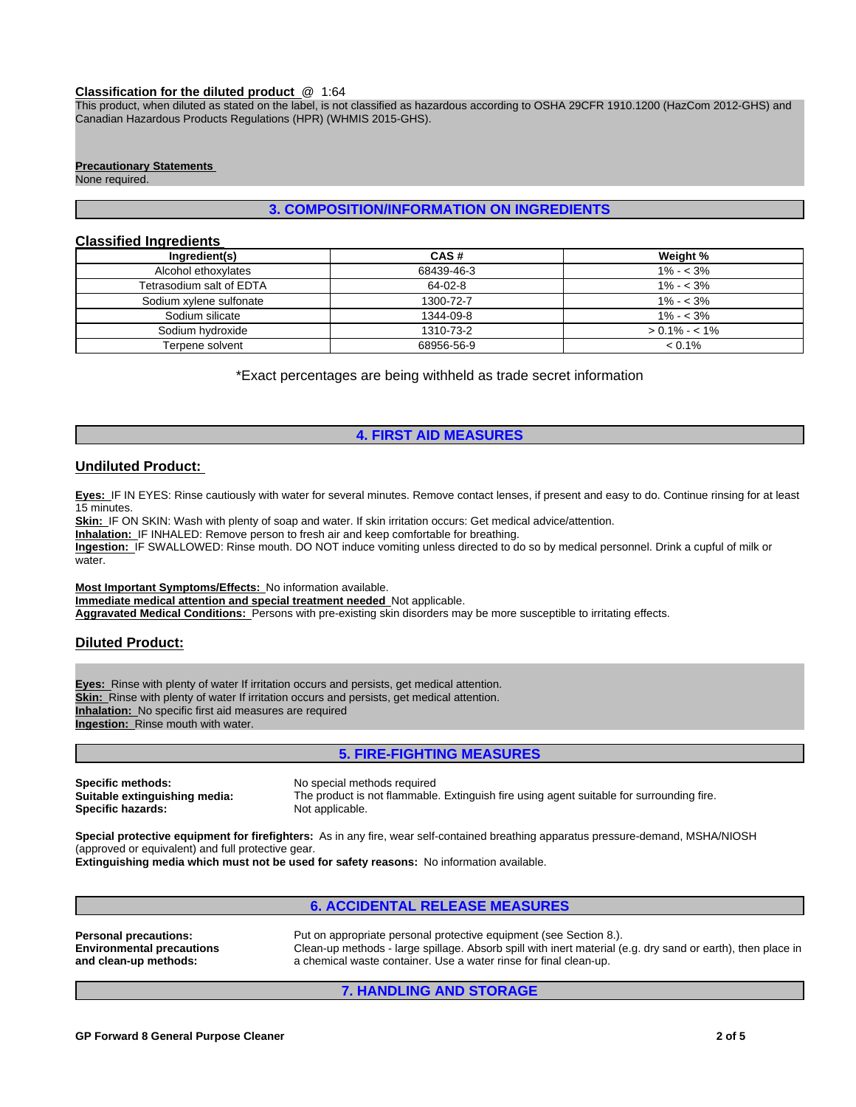#### **Classification for the diluted product** @ 1:64

This product, when diluted as stated on the label, is not classified as hazardous according to OSHA 29CFR 1910.1200 (HazCom 2012-GHS) and Canadian Hazardous Products Regulations (HPR) (WHMIS 2015-GHS).

#### **Precautionary Statements**

None required.

## **3. COMPOSITION/INFORMATION ON INGREDIENTS**

## **Classified Ingredients**

| Ingredient(s)            | CAS#       | Weight %        |
|--------------------------|------------|-----------------|
| Alcohol ethoxylates      | 68439-46-3 | $1\% - 3\%$     |
| Tetrasodium salt of EDTA | 64-02-8    | $1\% - 3\%$     |
| Sodium xylene sulfonate  | 1300-72-7  | $1\% - 3\%$     |
| Sodium silicate          | 1344-09-8  | $1\% - 3\%$     |
| Sodium hydroxide         | 1310-73-2  | $> 0.1\% - 1\%$ |
| Terpene solvent          | 68956-56-9 | $< 0.1\%$       |

\*Exact percentages are being withheld as trade secret information

## **4. FIRST AID MEASURES**

#### **Undiluted Product:**

**Eyes:** IF IN EYES: Rinse cautiously with water for several minutes. Remove contact lenses, if present and easy to do. Continue rinsing for at least 15 minutes.

**Skin:** IF ON SKIN: Wash with plenty of soap and water. If skin irritation occurs: Get medical advice/attention.

**Inhalation:** IF INHALED: Remove person to fresh air and keep comfortable for breathing.

**Ingestion:** IF SWALLOWED: Rinse mouth. DO NOT induce vomiting unless directed to do so by medical personnel. Drink a cupful of milk or water.

**Most Important Symptoms/Effects:** No information available. **Immediate medical attention and special treatment needed** Not applicable. **Aggravated Medical Conditions:** Persons with pre-existing skin disorders may be more susceptible to irritating effects.

## **Diluted Product:**

**Eyes:** Rinse with plenty of water If irritation occurs and persists, get medical attention. **Skin:** Rinse with plenty of water If irritation occurs and persists, get medical attention. **Inhalation:** No specific first aid measures are required **Ingestion:** Rinse mouth with water.

## **5. FIRE-FIGHTING MEASURES**

**Specific methods:** No special methods required<br> **Suitable extinguishing media:** The product is not flammable **Specific hazards:** 

The product is not flammable. Extinguish fire using agent suitable for surrounding fire.<br>Not applicable.

**Special protective equipment for firefighters:** As in any fire, wear self-contained breathing apparatus pressure-demand, MSHA/NIOSH (approved or equivalent) and full protective gear.

**Extinguishing media which must not be used for safety reasons:** No information available.

## **6. ACCIDENTAL RELEASE MEASURES**

**Personal precautions:** Put on appropriate personal protective equipment (see Section 8.). **Environmental precautions and clean-up methods:** Clean-up methods - large spillage. Absorb spill with inert material (e.g. dry sand or earth), then place in a chemical waste container. Use a water rinse for final clean-up.

**7. HANDLING AND STORAGE**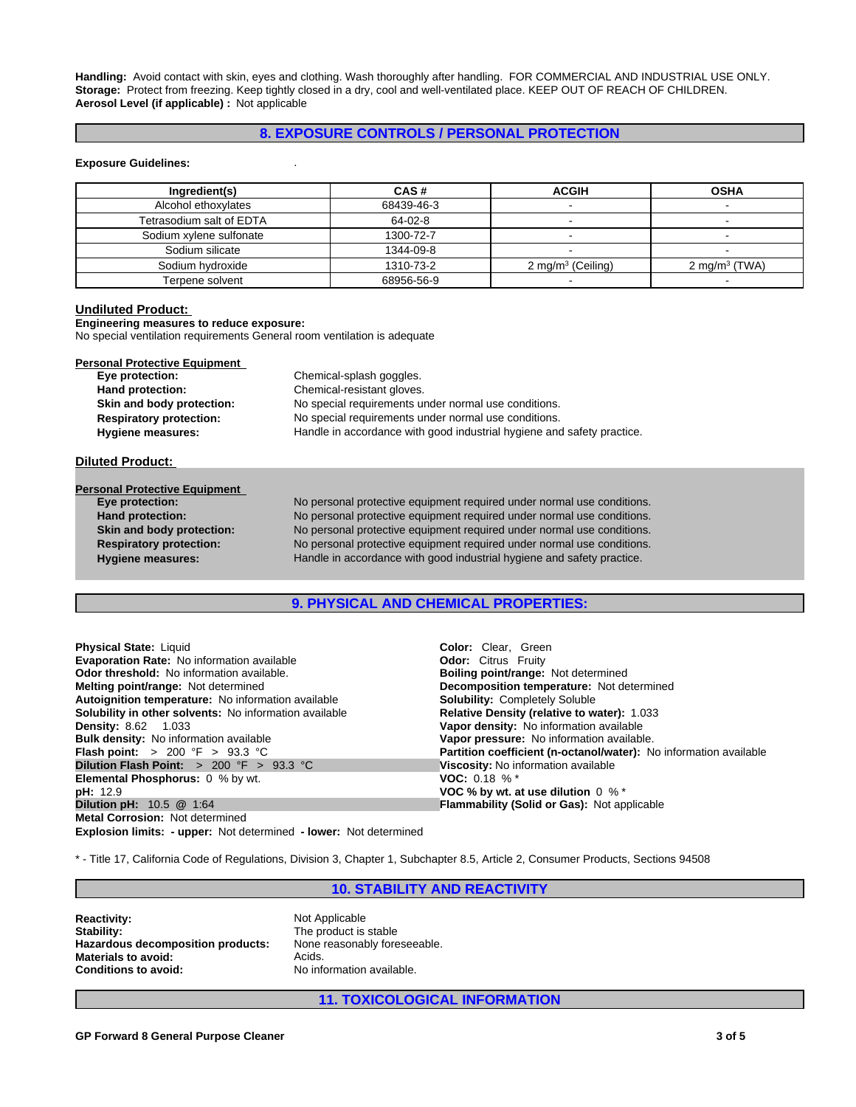**Handling:** Avoid contact with skin, eyes and clothing. Wash thoroughly after handling. FOR COMMERCIAL AND INDUSTRIAL USE ONLY. **Storage:** Protect from freezing. Keep tightly closed in a dry, cool and well-ventilated place. KEEP OUT OF REACH OF CHILDREN. **Aerosol Level (if applicable) :** Not applicable

## **8. EXPOSURE CONTROLS / PERSONAL PROTECTION**

#### **Exposure Guidelines:** .

| Ingredient(s)            | CAS#       | <b>ACGIH</b>                 | <b>OSHA</b>               |
|--------------------------|------------|------------------------------|---------------------------|
|                          |            |                              |                           |
| Alcohol ethoxylates      | 68439-46-3 |                              |                           |
| Tetrasodium salt of EDTA | 64-02-8    |                              |                           |
| Sodium xylene sulfonate  | 1300-72-7  |                              |                           |
| Sodium silicate          | 1344-09-8  |                              |                           |
| Sodium hydroxide         | 1310-73-2  | $2 \text{ mg/m}^3$ (Ceiling) | 2 mg/m <sup>3</sup> (TWA) |
| Terpene solvent          | 68956-56-9 |                              |                           |

## **Undiluted Product:**

**Engineering measures to reduce exposure:**

No special ventilation requirements General room ventilation is adequate

| <b>Personal Protective Equipment</b> |                                                                        |
|--------------------------------------|------------------------------------------------------------------------|
| Eye protection:                      | Chemical-splash goggles.                                               |
| Hand protection:                     | Chemical-resistant gloves.                                             |
| Skin and body protection:            | No special requirements under normal use conditions.                   |
| <b>Respiratory protection:</b>       | No special requirements under normal use conditions.                   |
| <b>Hygiene measures:</b>             | Handle in accordance with good industrial hygiene and safety practice. |
| <b>Diluted Product:</b>              |                                                                        |
|                                      |                                                                        |

| <b>Personal Protective Equipment</b> |                                                                        |
|--------------------------------------|------------------------------------------------------------------------|
| Eye protection:                      | No personal protective equipment required under normal use conditions. |
| Hand protection:                     | No personal protective equipment required under normal use conditions. |
| Skin and body protection:            | No personal protective equipment required under normal use conditions. |
| <b>Respiratory protection:</b>       | No personal protective equipment required under normal use conditions. |
| <b>Hygiene measures:</b>             | Handle in accordance with good industrial hygiene and safety practice. |
|                                      |                                                                        |

## **9. PHYSICAL AND CHEMICAL PROPERTIES:**

| <b>Physical State: Liquid</b>                                 | <b>Color:</b> Clear. Green                                        |
|---------------------------------------------------------------|-------------------------------------------------------------------|
| <b>Evaporation Rate: No information available</b>             | <b>Odor:</b> Citrus Fruity                                        |
| <b>Odor threshold:</b> No information available.              | <b>Boiling point/range: Not determined</b>                        |
| <b>Melting point/range: Not determined</b>                    | Decomposition temperature: Not determined                         |
| Autoignition temperature: No information available            | <b>Solubility: Completely Soluble</b>                             |
| <b>Solubility in other solvents:</b> No information available | Relative Density (relative to water): 1.033                       |
| <b>Density: 8.62 1.033</b>                                    | Vapor density: No information available                           |
| <b>Bulk density:</b> No information available                 | Vapor pressure: No information available.                         |
| <b>Flash point:</b> $> 200 \, \text{°F} > 93.3 \, \text{°C}$  | Partition coefficient (n-octanol/water): No information available |
| <b>Dilution Flash Point:</b> $> 200$ °F $> 93.3$ °C           | Viscosity: No information available                               |
| <b>Elemental Phosphorus:</b> 0 % by wt.                       | <b>VOC:</b> 0.18 % $*$                                            |
| <b>pH: 12.9</b>                                               | VOC % by wt. at use dilution $0\%$ *                              |
| <b>Dilution pH: 10.5 @ 1:64</b>                               | <b>Flammability (Solid or Gas): Not applicable</b>                |
| <b>Metal Corrosion: Not determined</b>                        |                                                                   |
|                                                               |                                                                   |

**Explosion limits: - upper:** Not determined **- lower:** Not determined

\* - Title 17, California Code of Regulations, Division 3, Chapter 1, Subchapter 8.5, Article 2, Consumer Products, Sections 94508

## **10. STABILITY AND REACTIVITY**

**Reactivity:** Not Applicable Stability: Not Applicable Stability: **Hazardous decomposition products: Materials to avoid:** Acids. **Conditions to avoid:** No information available.

The product is stable<br>None reasonably foreseeable.

**11. TOXICOLOGICAL INFORMATION**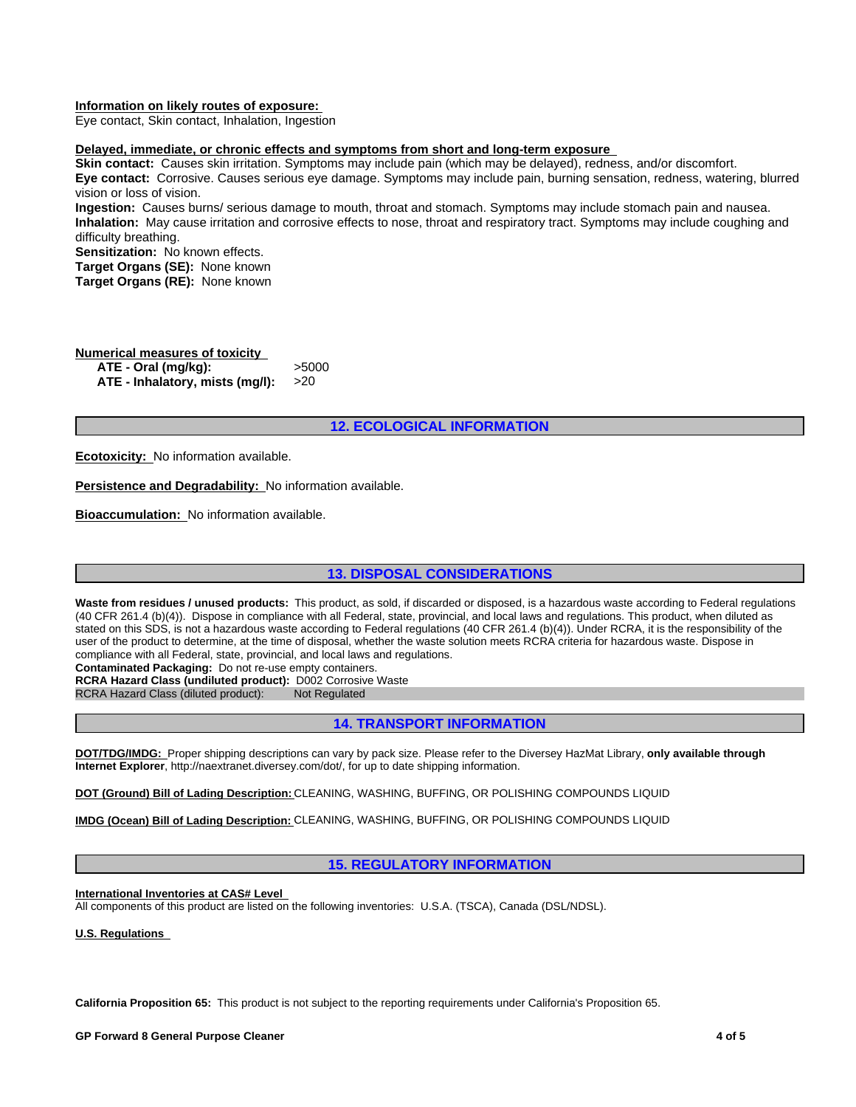#### **Information on likely routes of exposure:**

Eye contact, Skin contact, Inhalation, Ingestion

## **Delayed, immediate, or chronic effects and symptoms from short and long-term exposure**

**Skin contact:** Causes skin irritation. Symptoms may include pain (which may be delayed), redness, and/or discomfort. **Eye contact:** Corrosive. Causes serious eye damage. Symptoms may include pain, burning sensation, redness, watering, blurred vision or loss of vision.

**Ingestion:** Causes burns/ serious damage to mouth, throat and stomach. Symptoms may include stomach pain and nausea. **Inhalation:** May cause irritation and corrosive effects to nose, throat and respiratory tract. Symptoms may include coughing and difficulty breathing.

**Sensitization:** No known effects. **Target Organs (SE):** None known **Target Organs (RE):** None known

# **Numerical measures of toxicity**<br>**ATF - Oral (mg/kg):** > > > > 5000

ATE - Oral (mg/kg): **ATE - Inhalatory, mists (mg/l):** >20

## **12. ECOLOGICAL INFORMATION**

**Ecotoxicity:** No information available.

**Persistence and Degradability:** No information available.

**Bioaccumulation:** No information available.

## **13. DISPOSAL CONSIDERATIONS**

Waste from residues / unused products: This product, as sold, if discarded or disposed, is a hazardous waste according to Federal regulations (40 CFR 261.4 (b)(4)). Dispose in compliance with all Federal, state, provincial, and local laws and regulations. This product, when diluted as stated on this SDS, is not a hazardous waste according to Federal regulations (40 CFR 261.4 (b)(4)). Under RCRA, it is the responsibility of the user of the product to determine, at the time of disposal, whether the waste solution meets RCRA criteria for hazardous waste. Dispose in compliance with all Federal, state, provincial, and local laws and regulations.

**Contaminated Packaging:** Do not re-use empty containers.

**RCRA Hazard Class (undiluted product):** D002 Corrosive Waste

RCRA Hazard Class (diluted product): Not Regulated

## **14. TRANSPORT INFORMATION**

**DOT/TDG/IMDG:** Proper shipping descriptions can vary by pack size. Please refer to the Diversey HazMat Library, **only available through Internet Explorer**, http://naextranet.diversey.com/dot/, for up to date shipping information.

**DOT (Ground) Bill of Lading Description:** CLEANING, WASHING, BUFFING, OR POLISHING COMPOUNDS LIQUID

**IMDG (Ocean) Bill of Lading Description:** CLEANING, WASHING, BUFFING, OR POLISHING COMPOUNDS LIQUID

## **15. REGULATORY INFORMATION**

**International Inventories at CAS# Level** 

All components of this product are listed on the following inventories: U.S.A. (TSCA), Canada (DSL/NDSL).

**U.S. Regulations** 

**California Proposition 65:** This product is not subject to the reporting requirements under California's Proposition 65.